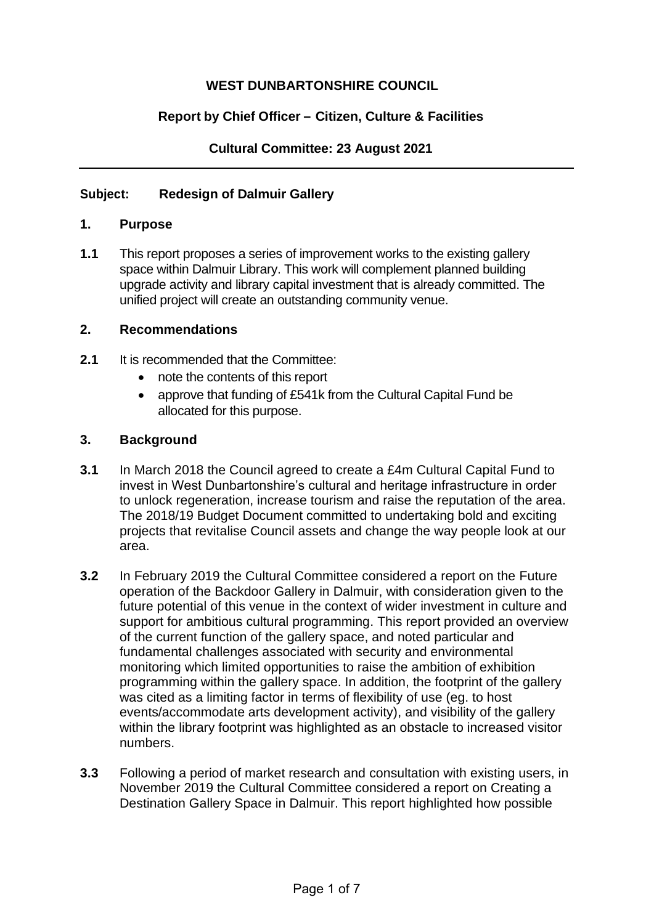# **WEST DUNBARTONSHIRE COUNCIL**

# **Report by Chief Officer – Citizen, Culture & Facilities**

## **Cultural Committee: 23 August 2021**

## **Subject: Redesign of Dalmuir Gallery**

#### **1. Purpose**

**1.1** This report proposes a series of improvement works to the existing gallery space within Dalmuir Library. This work will complement planned building upgrade activity and library capital investment that is already committed. The unified project will create an outstanding community venue.

#### **2. Recommendations**

- **2.1** It is recommended that the Committee:
	- note the contents of this report
	- approve that funding of £541k from the Cultural Capital Fund be allocated for this purpose.

#### **3. Background**

- **3.1** In March 2018 the Council agreed to create a £4m Cultural Capital Fund to invest in West Dunbartonshire's cultural and heritage infrastructure in order to unlock regeneration, increase tourism and raise the reputation of the area. The 2018/19 Budget Document committed to undertaking bold and exciting projects that revitalise Council assets and change the way people look at our area.
- **3.2** In February 2019 the Cultural Committee considered a report on the Future operation of the Backdoor Gallery in Dalmuir, with consideration given to the future potential of this venue in the context of wider investment in culture and support for ambitious cultural programming. This report provided an overview of the current function of the gallery space, and noted particular and fundamental challenges associated with security and environmental monitoring which limited opportunities to raise the ambition of exhibition programming within the gallery space. In addition, the footprint of the gallery was cited as a limiting factor in terms of flexibility of use (eg. to host events/accommodate arts development activity), and visibility of the gallery within the library footprint was highlighted as an obstacle to increased visitor numbers.
- **3.3** Following a period of market research and consultation with existing users, in November 2019 the Cultural Committee considered a report on Creating a Destination Gallery Space in Dalmuir. This report highlighted how possible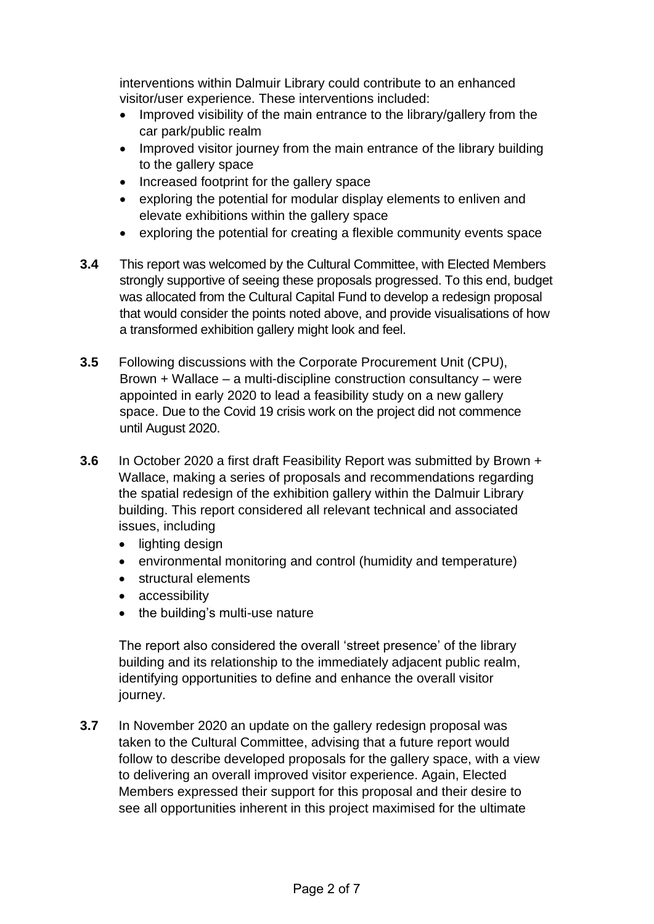interventions within Dalmuir Library could contribute to an enhanced visitor/user experience. These interventions included:

- Improved visibility of the main entrance to the library/gallery from the car park/public realm
- Improved visitor journey from the main entrance of the library building to the gallery space
- Increased footprint for the gallery space
- exploring the potential for modular display elements to enliven and elevate exhibitions within the gallery space
- exploring the potential for creating a flexible community events space
- **3.4** This report was welcomed by the Cultural Committee, with Elected Members strongly supportive of seeing these proposals progressed. To this end, budget was allocated from the Cultural Capital Fund to develop a redesign proposal that would consider the points noted above, and provide visualisations of how a transformed exhibition gallery might look and feel.
- **3.5** Following discussions with the Corporate Procurement Unit (CPU), Brown + Wallace – a multi-discipline construction consultancy – were appointed in early 2020 to lead a feasibility study on a new gallery space. Due to the Covid 19 crisis work on the project did not commence until August 2020.
- **3.6** In October 2020 a first draft Feasibility Report was submitted by Brown + Wallace, making a series of proposals and recommendations regarding the spatial redesign of the exhibition gallery within the Dalmuir Library building. This report considered all relevant technical and associated issues, including
	- lighting design
	- environmental monitoring and control (humidity and temperature)
	- structural elements
	- accessibility
	- the building's multi-use nature

The report also considered the overall 'street presence' of the library building and its relationship to the immediately adjacent public realm, identifying opportunities to define and enhance the overall visitor journey.

**3.7** In November 2020 an update on the gallery redesign proposal was taken to the Cultural Committee, advising that a future report would follow to describe developed proposals for the gallery space, with a view to delivering an overall improved visitor experience. Again, Elected Members expressed their support for this proposal and their desire to see all opportunities inherent in this project maximised for the ultimate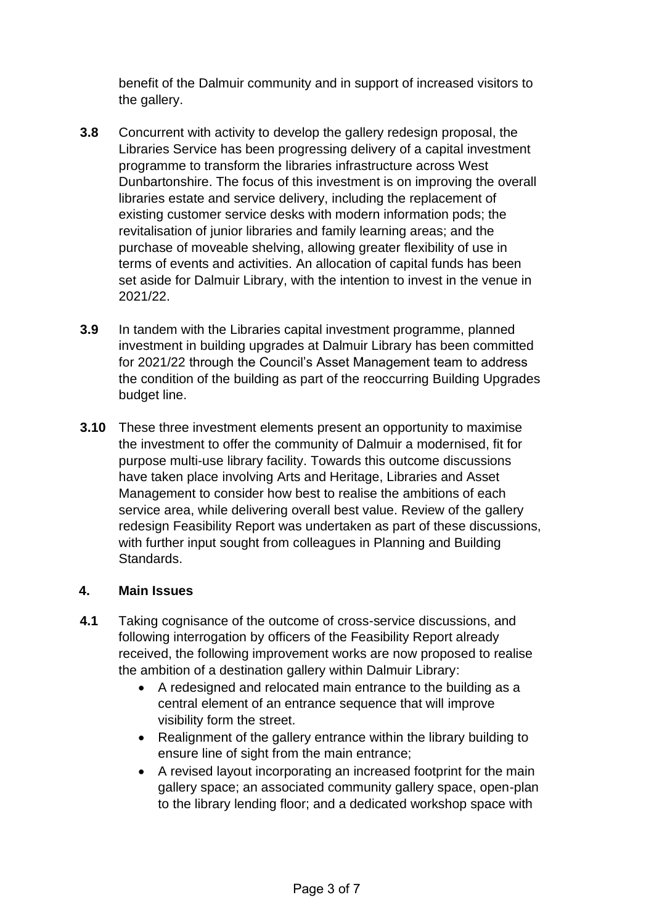benefit of the Dalmuir community and in support of increased visitors to the gallery.

- **3.8** Concurrent with activity to develop the gallery redesign proposal, the Libraries Service has been progressing delivery of a capital investment programme to transform the libraries infrastructure across West Dunbartonshire. The focus of this investment is on improving the overall libraries estate and service delivery, including the replacement of existing customer service desks with modern information pods; the revitalisation of junior libraries and family learning areas; and the purchase of moveable shelving, allowing greater flexibility of use in terms of events and activities. An allocation of capital funds has been set aside for Dalmuir Library, with the intention to invest in the venue in 2021/22.
- **3.9** In tandem with the Libraries capital investment programme, planned investment in building upgrades at Dalmuir Library has been committed for 2021/22 through the Council's Asset Management team to address the condition of the building as part of the reoccurring Building Upgrades budget line.
- **3.10** These three investment elements present an opportunity to maximise the investment to offer the community of Dalmuir a modernised, fit for purpose multi-use library facility. Towards this outcome discussions have taken place involving Arts and Heritage, Libraries and Asset Management to consider how best to realise the ambitions of each service area, while delivering overall best value. Review of the gallery redesign Feasibility Report was undertaken as part of these discussions, with further input sought from colleagues in Planning and Building Standards.

# **4. Main Issues**

- **4.1** Taking cognisance of the outcome of cross-service discussions, and following interrogation by officers of the Feasibility Report already received, the following improvement works are now proposed to realise the ambition of a destination gallery within Dalmuir Library:
	- A redesigned and relocated main entrance to the building as a central element of an entrance sequence that will improve visibility form the street.
	- Realignment of the gallery entrance within the library building to ensure line of sight from the main entrance;
	- A revised layout incorporating an increased footprint for the main gallery space; an associated community gallery space, open-plan to the library lending floor; and a dedicated workshop space with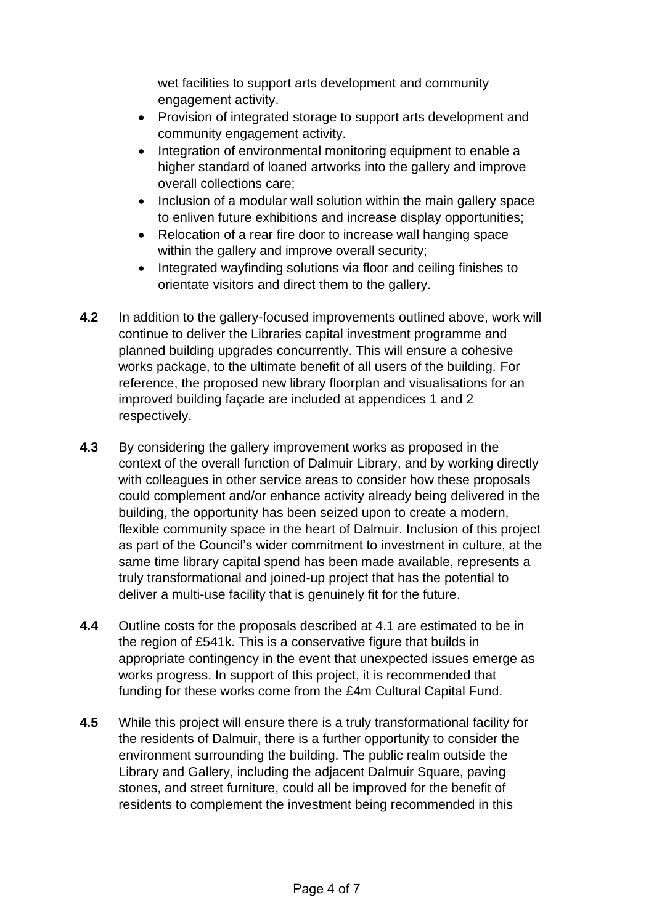wet facilities to support arts development and community engagement activity.

- Provision of integrated storage to support arts development and community engagement activity.
- Integration of environmental monitoring equipment to enable a higher standard of loaned artworks into the gallery and improve overall collections care;
- Inclusion of a modular wall solution within the main gallery space to enliven future exhibitions and increase display opportunities;
- Relocation of a rear fire door to increase wall hanging space within the gallery and improve overall security;
- Integrated wayfinding solutions via floor and ceiling finishes to orientate visitors and direct them to the gallery.
- **4.2** In addition to the gallery-focused improvements outlined above, work will continue to deliver the Libraries capital investment programme and planned building upgrades concurrently. This will ensure a cohesive works package, to the ultimate benefit of all users of the building. For reference, the proposed new library floorplan and visualisations for an improved building façade are included at appendices 1 and 2 respectively.
- **4.3** By considering the gallery improvement works as proposed in the context of the overall function of Dalmuir Library, and by working directly with colleagues in other service areas to consider how these proposals could complement and/or enhance activity already being delivered in the building, the opportunity has been seized upon to create a modern, flexible community space in the heart of Dalmuir. Inclusion of this project as part of the Council's wider commitment to investment in culture, at the same time library capital spend has been made available, represents a truly transformational and joined-up project that has the potential to deliver a multi-use facility that is genuinely fit for the future.
- **4.4** Outline costs for the proposals described at 4.1 are estimated to be in the region of £541k. This is a conservative figure that builds in appropriate contingency in the event that unexpected issues emerge as works progress. In support of this project, it is recommended that funding for these works come from the £4m Cultural Capital Fund.
- **4.5** While this project will ensure there is a truly transformational facility for the residents of Dalmuir, there is a further opportunity to consider the environment surrounding the building. The public realm outside the Library and Gallery, including the adjacent Dalmuir Square, paving stones, and street furniture, could all be improved for the benefit of residents to complement the investment being recommended in this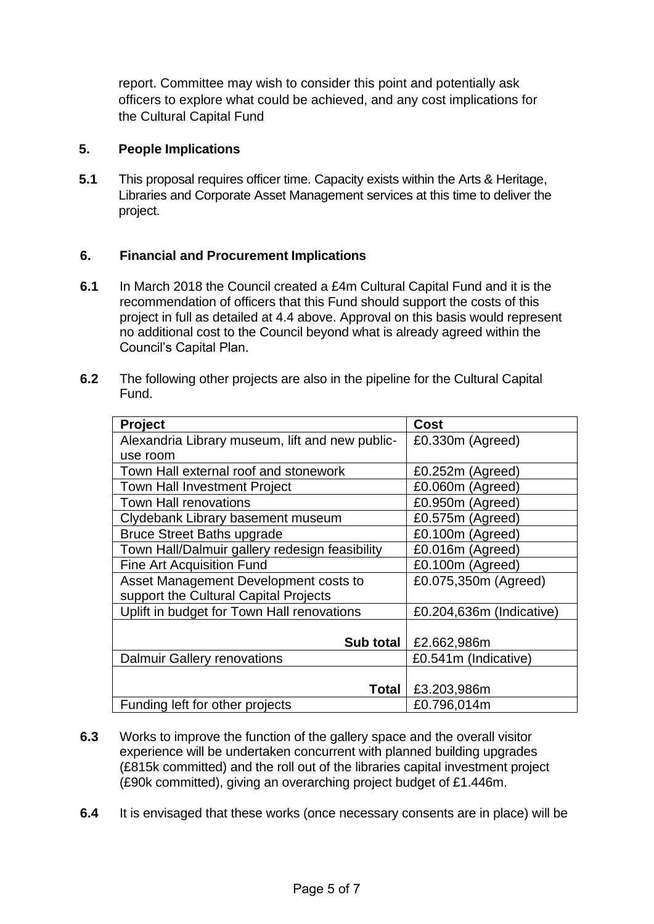report. Committee may wish to consider this point and potentially ask officers to explore what could be achieved, and any cost implications for the Cultural Capital Fund

# **5. People Implications**

**5.1** This proposal requires officer time. Capacity exists within the Arts & Heritage, Libraries and Corporate Asset Management services at this time to deliver the project.

## **6. Financial and Procurement Implications**

- **6.1** In March 2018 the Council created a £4m Cultural Capital Fund and it is the recommendation of officers that this Fund should support the costs of this project in full as detailed at 4.4 above. Approval on this basis would represent no additional cost to the Council beyond what is already agreed within the Council's Capital Plan.
- **6.2** The following other projects are also in the pipeline for the Cultural Capital Fund.

| <b>Project</b>                                  | <b>Cost</b>              |
|-------------------------------------------------|--------------------------|
| Alexandria Library museum, lift and new public- | £0.330m (Agreed)         |
| use room                                        |                          |
| Town Hall external roof and stonework           | £0.252m (Agreed)         |
| <b>Town Hall Investment Project</b>             | £0.060m (Agreed)         |
| <b>Town Hall renovations</b>                    | £0.950m (Agreed)         |
| Clydebank Library basement museum               | £0.575m (Agreed)         |
| <b>Bruce Street Baths upgrade</b>               | £0.100m (Agreed)         |
| Town Hall/Dalmuir gallery redesign feasibility  | £0.016m (Agreed)         |
| <b>Fine Art Acquisition Fund</b>                | £0.100m (Agreed)         |
| Asset Management Development costs to           | £0.075,350m (Agreed)     |
| support the Cultural Capital Projects           |                          |
| Uplift in budget for Town Hall renovations      | £0.204,636m (Indicative) |
|                                                 |                          |
| Sub total                                       | £2.662,986m              |
| <b>Dalmuir Gallery renovations</b>              | £0.541m (Indicative)     |
|                                                 |                          |
| Total                                           | £3.203,986m              |
| Funding left for other projects                 | £0.796,014m              |

- **6.3** Works to improve the function of the gallery space and the overall visitor experience will be undertaken concurrent with planned building upgrades (£815k committed) and the roll out of the libraries capital investment project (£90k committed), giving an overarching project budget of £1.446m.
- **6.4** It is envisaged that these works (once necessary consents are in place) will be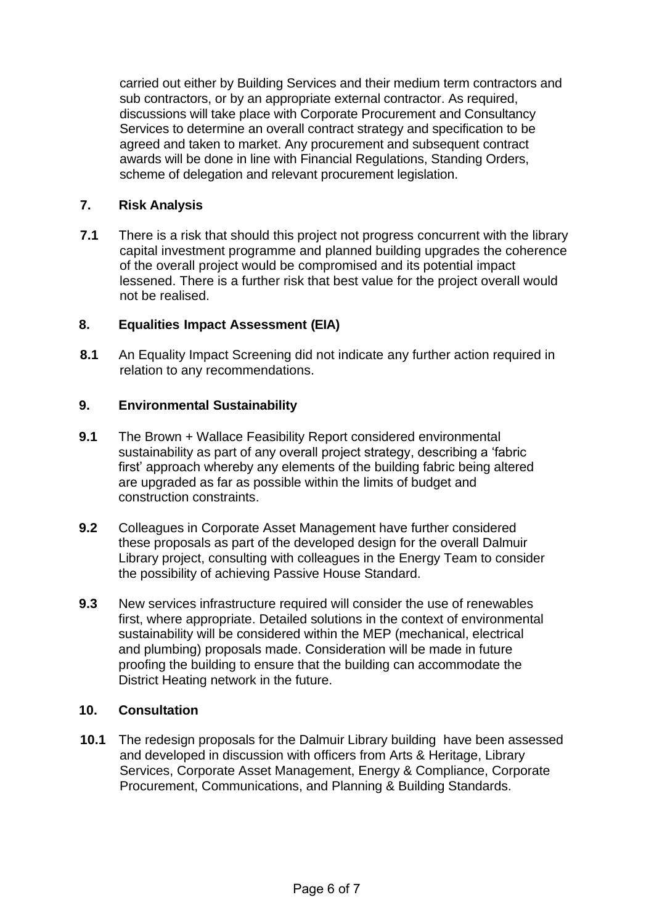carried out either by Building Services and their medium term contractors and sub contractors, or by an appropriate external contractor. As required, discussions will take place with Corporate Procurement and Consultancy Services to determine an overall contract strategy and specification to be agreed and taken to market. Any procurement and subsequent contract awards will be done in line with Financial Regulations, Standing Orders, scheme of delegation and relevant procurement legislation.

# **7. Risk Analysis**

**7.1** There is a risk that should this project not progress concurrent with the library capital investment programme and planned building upgrades the coherence of the overall project would be compromised and its potential impact lessened. There is a further risk that best value for the project overall would not be realised.

## **8. Equalities Impact Assessment (EIA)**

**8.1** An Equality Impact Screening did not indicate any further action required in relation to any recommendations.

### **9. Environmental Sustainability**

- **9.1** The Brown + Wallace Feasibility Report considered environmental sustainability as part of any overall project strategy, describing a 'fabric first' approach whereby any elements of the building fabric being altered are upgraded as far as possible within the limits of budget and construction constraints.
- **9.2** Colleagues in Corporate Asset Management have further considered these proposals as part of the developed design for the overall Dalmuir Library project, consulting with colleagues in the Energy Team to consider the possibility of achieving Passive House Standard.
- **9.3** New services infrastructure required will consider the use of renewables first, where appropriate. Detailed solutions in the context of environmental sustainability will be considered within the MEP (mechanical, electrical and plumbing) proposals made. Consideration will be made in future proofing the building to ensure that the building can accommodate the District Heating network in the future.

### **10. Consultation**

**10.1** The redesign proposals for the Dalmuir Library building have been assessed and developed in discussion with officers from Arts & Heritage, Library Services, Corporate Asset Management, Energy & Compliance, Corporate Procurement, Communications, and Planning & Building Standards.